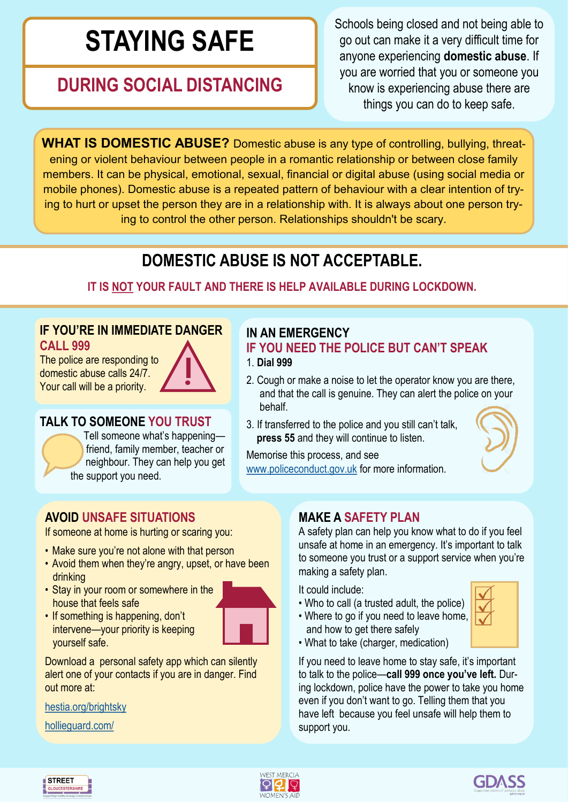# **STAYING SAFE**

# **DURING SOCIAL DISTANCING**

Schools being closed and not being able to go out can make it a very difficult time for anyone experiencing **domestic abuse**. If you are worried that you or someone you know is experiencing abuse there are things you can do to keep safe.

**WHAT IS DOMESTIC ABUSE?** Domestic abuse is any type of controlling, bullying, threatening or violent behaviour between people in a romantic relationship or between close family members. It can be physical, emotional, sexual, financial or digital abuse (using social media or mobile phones). Domestic abuse is a repeated pattern of behaviour with a clear intention of trying to hurt or upset the person they are in a relationship with. It is always about one person trying to control the other person. Relationships shouldn't be scary.

# **DOMESTIC ABUSE IS NOT ACCEPTABLE.**

## **IT IS NOT YOUR FAULT AND THERE IS HELP AVAILABLE DURING LOCKDOWN.**

### **IF YOU'RE IN IMMEDIATE DANGER CALL 999**

The police are responding to domestic abuse calls 24/7. Your call will be a priority.



### **TALK TO SOMEONE YOU TRUST**

Tell someone what's happening friend, family member, teacher or neighbour. They can help you get the support you need.

# **IN AN EMERGENCY**

#### **IF YOU NEED THE POLICE BUT CAN'T SPEAK** 1. **Dial 999**

- 2. Cough or make a noise to let the operator know you are there, and that the call is genuine. They can alert the police on your behalf.
- 3. If transferred to the police and you still can't talk, **press 55** and they will continue to listen.



Memorise this process, and see [www.policeconduct.gov.uk](http://www.policeconduct.gov.uk) for more information.

# **AVOID UNSAFE SITUATIONS**

If someone at home is hurting or scaring you:

- Make sure you're not alone with that person
- Avoid them when they're angry, upset, or have been drinking
- Stay in your room or somewhere in the house that feels safe



• If something is happening, don't intervene—your priority is keeping yourself safe.

Download a personal safety app which can silently alert one of your contacts if you are in danger. Find out more at:

[hestia.org/brightsky](http://www.hestia.org/brightsky)

[hollieguard.com/](http://www.hollieguard.com/)

# **MAKE A SAFETY PLAN**

A safety plan can help you know what to do if you feel unsafe at home in an emergency. It's important to talk to someone you trust or a support service when you're making a safety plan.

It could include:

• Who to call (a trusted adult, the police) • Where to go if you need to leave home,



• What to take (charger, medication)

and how to get there safely

If you need to leave home to stay safe, it's important to talk to the police—**call 999 once you've left.** During lockdown, police have the power to take you home even if you don't want to go. Telling them that you have left because you feel unsafe will help them to support you.